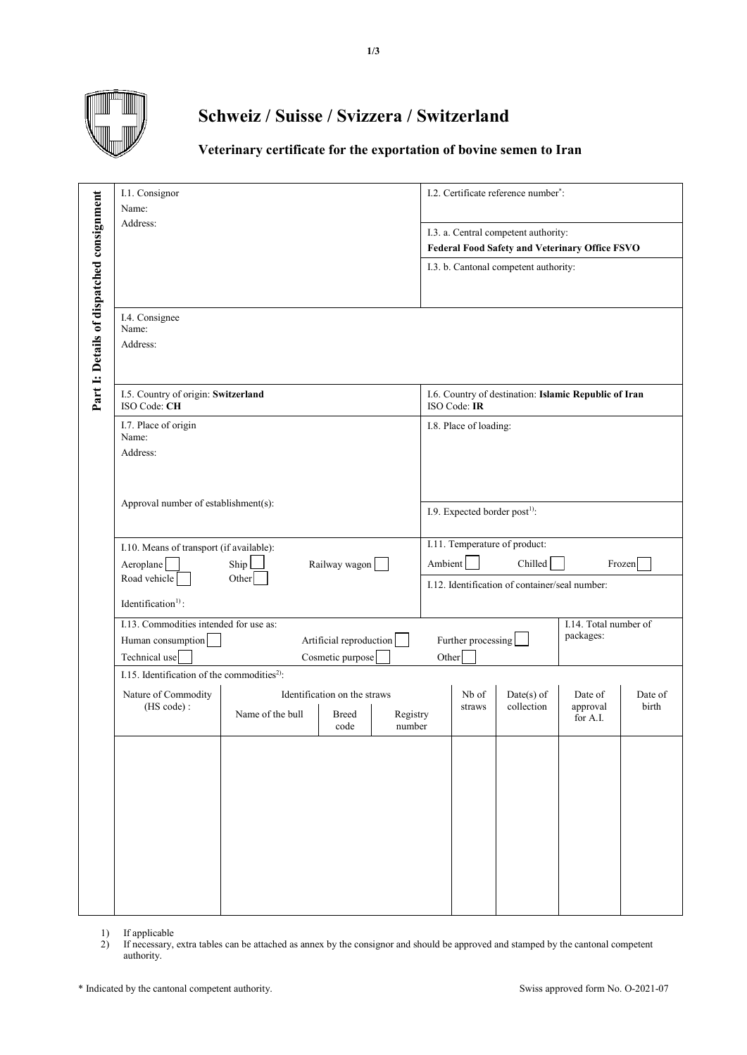

## **Schweiz / Suisse / Svizzera / Switzerland**

## **Veterinary certificate for the exportation of bovine semen to Iran**

|                                           | I.1. Consignor<br>Name:                                 |                                                                                       |                                               | I.2. Certificate reference number <sup>*</sup> :<br>I.3. a. Central competent authority:<br><b>Federal Food Safety and Veterinary Office FSVO</b> |                                                                                                                 |                        |                            |                                                       |                  |
|-------------------------------------------|---------------------------------------------------------|---------------------------------------------------------------------------------------|-----------------------------------------------|---------------------------------------------------------------------------------------------------------------------------------------------------|-----------------------------------------------------------------------------------------------------------------|------------------------|----------------------------|-------------------------------------------------------|------------------|
|                                           | Address:                                                |                                                                                       |                                               |                                                                                                                                                   |                                                                                                                 |                        |                            |                                                       |                  |
|                                           |                                                         |                                                                                       |                                               |                                                                                                                                                   | I.3. b. Cantonal competent authority:                                                                           |                        |                            |                                                       |                  |
| Part 1: Details of dispatched consignment | I.4. Consignee<br>Name:<br>Address:                     |                                                                                       |                                               |                                                                                                                                                   |                                                                                                                 |                        |                            |                                                       |                  |
|                                           | I.5. Country of origin: Switzerland<br>ISO Code: CH     |                                                                                       |                                               |                                                                                                                                                   |                                                                                                                 | ISO Code: IR           |                            | I.6. Country of destination: Islamic Republic of Iran |                  |
|                                           | I.7. Place of origin<br>Name:<br>Address:               |                                                                                       |                                               |                                                                                                                                                   |                                                                                                                 | I.8. Place of loading: |                            |                                                       |                  |
|                                           | Approval number of establishment(s):                    |                                                                                       |                                               |                                                                                                                                                   | I.9. Expected border post <sup>1)</sup> :                                                                       |                        |                            |                                                       |                  |
|                                           | Aeroplane<br>Road vehicle                               | I.10. Means of transport (if available):<br>Ship<br>Railway wagon<br>Other            |                                               |                                                                                                                                                   | I.11. Temperature of product:<br>Chilled<br>Ambient<br>Frozen<br>I.12. Identification of container/seal number: |                        |                            |                                                       |                  |
|                                           | Identification <sup>1)</sup> :                          |                                                                                       |                                               |                                                                                                                                                   |                                                                                                                 |                        |                            |                                                       |                  |
|                                           | Human consumption<br>Technical use                      | I.13. Commodities intended for use as:<br>Artificial reproduction<br>Cosmetic purpose |                                               |                                                                                                                                                   | I.14. Total number of<br>packages:<br>Further processing<br>Other                                               |                        |                            |                                                       |                  |
|                                           | I.15. Identification of the commodities <sup>2)</sup> : |                                                                                       |                                               |                                                                                                                                                   |                                                                                                                 |                        |                            |                                                       |                  |
|                                           | Nature of Commodity<br>(HS code):                       | Name of the bull                                                                      | Identification on the straws<br>Breed<br>code | Registry<br>number                                                                                                                                |                                                                                                                 | Nb of<br>straws        | $Date(s)$ of<br>collection | Date of<br>approval<br>for A.I.                       | Date of<br>birth |
|                                           |                                                         |                                                                                       |                                               |                                                                                                                                                   |                                                                                                                 |                        |                            |                                                       |                  |

1) If applicable

2) If necessary, extra tables can be attached as annex by the consignor and should be approved and stamped by the cantonal competent authority.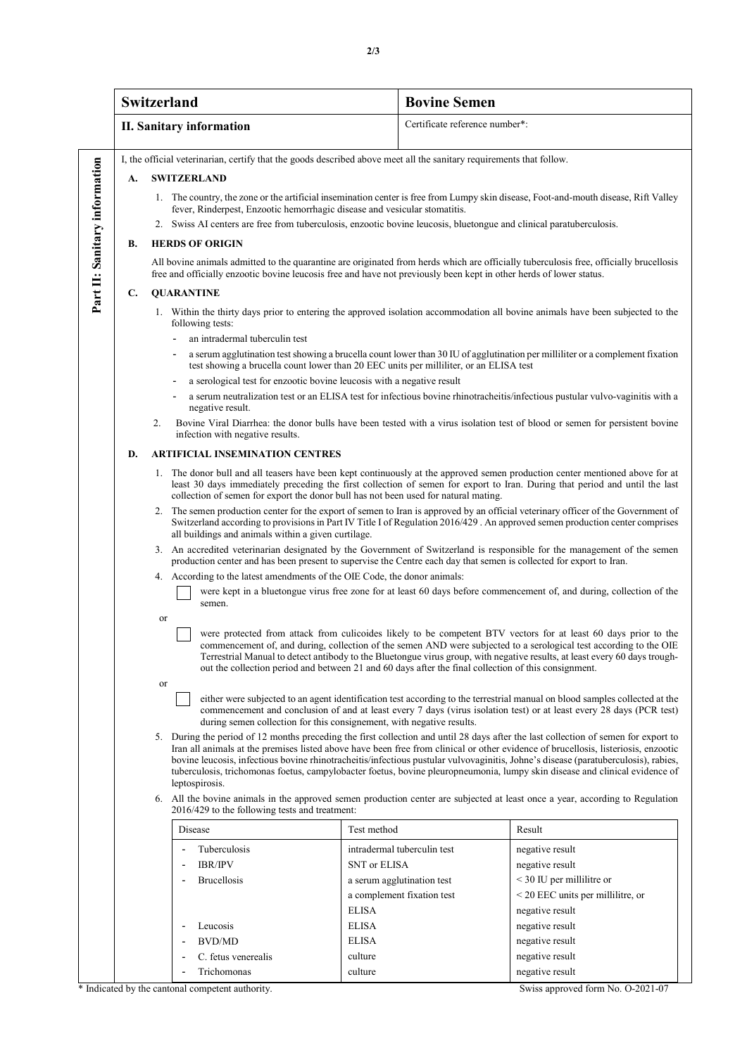|                                                                                                                                                                                                                                                                                                                                                                                                                                                                                                                                                                  | <b>Switzerland</b>                                                                                                                                                                                                                                                                                                                      |                                                                                                                                                                                                                                                                                                                                                          | <b>Bovine Semen</b>                                                                                                                                                                                                                             |  |  |  |                                                     |                                                                                                                                                                                                                                                                   |  |
|------------------------------------------------------------------------------------------------------------------------------------------------------------------------------------------------------------------------------------------------------------------------------------------------------------------------------------------------------------------------------------------------------------------------------------------------------------------------------------------------------------------------------------------------------------------|-----------------------------------------------------------------------------------------------------------------------------------------------------------------------------------------------------------------------------------------------------------------------------------------------------------------------------------------|----------------------------------------------------------------------------------------------------------------------------------------------------------------------------------------------------------------------------------------------------------------------------------------------------------------------------------------------------------|-------------------------------------------------------------------------------------------------------------------------------------------------------------------------------------------------------------------------------------------------|--|--|--|-----------------------------------------------------|-------------------------------------------------------------------------------------------------------------------------------------------------------------------------------------------------------------------------------------------------------------------|--|
|                                                                                                                                                                                                                                                                                                                                                                                                                                                                                                                                                                  |                                                                                                                                                                                                                                                                                                                                         | <b>II. Sanitary information</b>                                                                                                                                                                                                                                                                                                                          | Certificate reference number*:                                                                                                                                                                                                                  |  |  |  |                                                     |                                                                                                                                                                                                                                                                   |  |
|                                                                                                                                                                                                                                                                                                                                                                                                                                                                                                                                                                  |                                                                                                                                                                                                                                                                                                                                         | I, the official veterinarian, certify that the goods described above meet all the sanitary requirements that follow.                                                                                                                                                                                                                                     |                                                                                                                                                                                                                                                 |  |  |  |                                                     |                                                                                                                                                                                                                                                                   |  |
|                                                                                                                                                                                                                                                                                                                                                                                                                                                                                                                                                                  | А.                                                                                                                                                                                                                                                                                                                                      | <b>SWITZERLAND</b>                                                                                                                                                                                                                                                                                                                                       |                                                                                                                                                                                                                                                 |  |  |  |                                                     |                                                                                                                                                                                                                                                                   |  |
| гагт шашигу шпогшанон                                                                                                                                                                                                                                                                                                                                                                                                                                                                                                                                            | 1. The country, the zone or the artificial insemination center is free from Lumpy skin disease, Foot-and-mouth disease, Rift Valley<br>fever, Rinderpest, Enzootic hemorrhagic disease and vesicular stomatitis.<br>2. Swiss AI centers are free from tuberculosis, enzootic bovine leucosis, bluetongue and clinical paratuberculosis. |                                                                                                                                                                                                                                                                                                                                                          |                                                                                                                                                                                                                                                 |  |  |  |                                                     |                                                                                                                                                                                                                                                                   |  |
|                                                                                                                                                                                                                                                                                                                                                                                                                                                                                                                                                                  | В.                                                                                                                                                                                                                                                                                                                                      | <b>HERDS OF ORIGIN</b>                                                                                                                                                                                                                                                                                                                                   |                                                                                                                                                                                                                                                 |  |  |  |                                                     |                                                                                                                                                                                                                                                                   |  |
|                                                                                                                                                                                                                                                                                                                                                                                                                                                                                                                                                                  |                                                                                                                                                                                                                                                                                                                                         | All bovine animals admitted to the quarantine are originated from herds which are officially tuberculosis free, officially brucellosis<br>free and officially enzootic bovine leucosis free and have not previously been kept in other herds of lower status.                                                                                            |                                                                                                                                                                                                                                                 |  |  |  |                                                     |                                                                                                                                                                                                                                                                   |  |
|                                                                                                                                                                                                                                                                                                                                                                                                                                                                                                                                                                  | C.                                                                                                                                                                                                                                                                                                                                      | <b>QUARANTINE</b>                                                                                                                                                                                                                                                                                                                                        |                                                                                                                                                                                                                                                 |  |  |  |                                                     |                                                                                                                                                                                                                                                                   |  |
|                                                                                                                                                                                                                                                                                                                                                                                                                                                                                                                                                                  |                                                                                                                                                                                                                                                                                                                                         | following tests:                                                                                                                                                                                                                                                                                                                                         | 1. Within the thirty days prior to entering the approved isolation accommodation all bovine animals have been subjected to the                                                                                                                  |  |  |  |                                                     |                                                                                                                                                                                                                                                                   |  |
|                                                                                                                                                                                                                                                                                                                                                                                                                                                                                                                                                                  |                                                                                                                                                                                                                                                                                                                                         | an intradermal tuberculin test<br>$\overline{\phantom{a}}$                                                                                                                                                                                                                                                                                               |                                                                                                                                                                                                                                                 |  |  |  |                                                     |                                                                                                                                                                                                                                                                   |  |
|                                                                                                                                                                                                                                                                                                                                                                                                                                                                                                                                                                  |                                                                                                                                                                                                                                                                                                                                         | a serum agglutination test showing a brucella count lower than 30 IU of agglutination per milliliter or a complement fixation<br>test showing a brucella count lower than 20 EEC units per milliliter, or an ELISA test                                                                                                                                  |                                                                                                                                                                                                                                                 |  |  |  |                                                     |                                                                                                                                                                                                                                                                   |  |
|                                                                                                                                                                                                                                                                                                                                                                                                                                                                                                                                                                  |                                                                                                                                                                                                                                                                                                                                         | a serological test for enzootic bovine leucosis with a negative result<br>$\overline{\phantom{a}}$                                                                                                                                                                                                                                                       | a serum neutralization test or an ELISA test for infectious bovine rhinotracheitis/infectious pustular vulvo-vaginitis with a                                                                                                                   |  |  |  |                                                     |                                                                                                                                                                                                                                                                   |  |
|                                                                                                                                                                                                                                                                                                                                                                                                                                                                                                                                                                  |                                                                                                                                                                                                                                                                                                                                         | negative result.                                                                                                                                                                                                                                                                                                                                         |                                                                                                                                                                                                                                                 |  |  |  |                                                     |                                                                                                                                                                                                                                                                   |  |
|                                                                                                                                                                                                                                                                                                                                                                                                                                                                                                                                                                  |                                                                                                                                                                                                                                                                                                                                         | 2.<br>infection with negative results.                                                                                                                                                                                                                                                                                                                   | Bovine Viral Diarrhea: the donor bulls have been tested with a virus isolation test of blood or semen for persistent bovine                                                                                                                     |  |  |  |                                                     |                                                                                                                                                                                                                                                                   |  |
| <b>ARTIFICIAL INSEMINATION CENTRES</b><br>D.<br>1. The donor bull and all teasers have been kept continuously at the approved semen production center mentioned above for at<br>least 30 days immediately preceding the first collection of semen for export to Iran. During that period and until the last<br>collection of semen for export the donor bull has not been used for natural mating.                                                                                                                                                               |                                                                                                                                                                                                                                                                                                                                         |                                                                                                                                                                                                                                                                                                                                                          |                                                                                                                                                                                                                                                 |  |  |  |                                                     |                                                                                                                                                                                                                                                                   |  |
|                                                                                                                                                                                                                                                                                                                                                                                                                                                                                                                                                                  |                                                                                                                                                                                                                                                                                                                                         |                                                                                                                                                                                                                                                                                                                                                          |                                                                                                                                                                                                                                                 |  |  |  | all buildings and animals within a given curtilage. | 2. The semen production center for the export of semen to Iran is approved by an official veterinary officer of the Government of<br>Switzerland according to provisions in Part IV Title I of Regulation 2016/429. An approved semen production center comprises |  |
|                                                                                                                                                                                                                                                                                                                                                                                                                                                                                                                                                                  |                                                                                                                                                                                                                                                                                                                                         |                                                                                                                                                                                                                                                                                                                                                          | 3. An accredited veterinarian designated by the Government of Switzerland is responsible for the management of the semen<br>production center and has been present to supervise the Centre each day that semen is collected for export to Iran. |  |  |  |                                                     |                                                                                                                                                                                                                                                                   |  |
|                                                                                                                                                                                                                                                                                                                                                                                                                                                                                                                                                                  |                                                                                                                                                                                                                                                                                                                                         | 4. According to the latest amendments of the OIE Code, the donor animals:                                                                                                                                                                                                                                                                                |                                                                                                                                                                                                                                                 |  |  |  |                                                     |                                                                                                                                                                                                                                                                   |  |
|                                                                                                                                                                                                                                                                                                                                                                                                                                                                                                                                                                  |                                                                                                                                                                                                                                                                                                                                         | semen.                                                                                                                                                                                                                                                                                                                                                   | were kept in a bluetongue virus free zone for at least 60 days before commencement of, and during, collection of the                                                                                                                            |  |  |  |                                                     |                                                                                                                                                                                                                                                                   |  |
|                                                                                                                                                                                                                                                                                                                                                                                                                                                                                                                                                                  | were protected from attack from culicoides likely to be competent BTV vectors for at least 60 days prior to the                                                                                                                                                                                                                         |                                                                                                                                                                                                                                                                                                                                                          |                                                                                                                                                                                                                                                 |  |  |  |                                                     |                                                                                                                                                                                                                                                                   |  |
|                                                                                                                                                                                                                                                                                                                                                                                                                                                                                                                                                                  |                                                                                                                                                                                                                                                                                                                                         | commencement of, and during, collection of the semen AND were subjected to a serological test according to the OIE<br>Terrestrial Manual to detect antibody to the Bluetongue virus group, with negative results, at least every 60 days trough-<br>out the collection period and between 21 and 60 days after the final collection of this consignment. |                                                                                                                                                                                                                                                 |  |  |  |                                                     |                                                                                                                                                                                                                                                                   |  |
|                                                                                                                                                                                                                                                                                                                                                                                                                                                                                                                                                                  |                                                                                                                                                                                                                                                                                                                                         |                                                                                                                                                                                                                                                                                                                                                          |                                                                                                                                                                                                                                                 |  |  |  |                                                     |                                                                                                                                                                                                                                                                   |  |
|                                                                                                                                                                                                                                                                                                                                                                                                                                                                                                                                                                  |                                                                                                                                                                                                                                                                                                                                         | either were subjected to an agent identification test according to the terrestrial manual on blood samples collected at the<br>commencement and conclusion of and at least every 7 days (virus isolation test) or at least every 28 days (PCR test)<br>during semen collection for this consignement, with negative results.                             |                                                                                                                                                                                                                                                 |  |  |  |                                                     |                                                                                                                                                                                                                                                                   |  |
| 5. During the period of 12 months preceding the first collection and until 28 days after the last collection of semen for export to<br>Iran all animals at the premises listed above have been free from clinical or other evidence of brucellosis, listeriosis, enzootic<br>bovine leucosis, infectious bovine rhinotracheitis/infectious pustular vulvovaginitis, Johne's disease (paratuberculosis), rabies,<br>tuberculosis, trichomonas foetus, campylobacter foetus, bovine pleuropneumonia, lumpy skin disease and clinical evidence of<br>leptospirosis. |                                                                                                                                                                                                                                                                                                                                         |                                                                                                                                                                                                                                                                                                                                                          |                                                                                                                                                                                                                                                 |  |  |  |                                                     |                                                                                                                                                                                                                                                                   |  |
|                                                                                                                                                                                                                                                                                                                                                                                                                                                                                                                                                                  | 6. All the bovine animals in the approved semen production center are subjected at least once a year, according to Regulation                                                                                                                                                                                                           |                                                                                                                                                                                                                                                                                                                                                          |                                                                                                                                                                                                                                                 |  |  |  |                                                     |                                                                                                                                                                                                                                                                   |  |
|                                                                                                                                                                                                                                                                                                                                                                                                                                                                                                                                                                  |                                                                                                                                                                                                                                                                                                                                         | Test method<br>Disease                                                                                                                                                                                                                                                                                                                                   | Result                                                                                                                                                                                                                                          |  |  |  |                                                     |                                                                                                                                                                                                                                                                   |  |
|                                                                                                                                                                                                                                                                                                                                                                                                                                                                                                                                                                  |                                                                                                                                                                                                                                                                                                                                         | Tuberculosis                                                                                                                                                                                                                                                                                                                                             | intradermal tuberculin test<br>negative result                                                                                                                                                                                                  |  |  |  |                                                     |                                                                                                                                                                                                                                                                   |  |
|                                                                                                                                                                                                                                                                                                                                                                                                                                                                                                                                                                  |                                                                                                                                                                                                                                                                                                                                         | <b>IBR/IPV</b>                                                                                                                                                                                                                                                                                                                                           | SNT or ELISA<br>negative result                                                                                                                                                                                                                 |  |  |  |                                                     |                                                                                                                                                                                                                                                                   |  |
|                                                                                                                                                                                                                                                                                                                                                                                                                                                                                                                                                                  |                                                                                                                                                                                                                                                                                                                                         | <b>Brucellosis</b>                                                                                                                                                                                                                                                                                                                                       | a serum agglutination test<br>$<$ 30 IU per millilitre or                                                                                                                                                                                       |  |  |  |                                                     |                                                                                                                                                                                                                                                                   |  |
|                                                                                                                                                                                                                                                                                                                                                                                                                                                                                                                                                                  |                                                                                                                                                                                                                                                                                                                                         |                                                                                                                                                                                                                                                                                                                                                          | $<$ 20 EEC units per millilitre, or<br>a complement fixation test                                                                                                                                                                               |  |  |  |                                                     |                                                                                                                                                                                                                                                                   |  |
|                                                                                                                                                                                                                                                                                                                                                                                                                                                                                                                                                                  |                                                                                                                                                                                                                                                                                                                                         | <b>ELISA</b><br><b>ELISA</b>                                                                                                                                                                                                                                                                                                                             | negative result                                                                                                                                                                                                                                 |  |  |  |                                                     |                                                                                                                                                                                                                                                                   |  |
|                                                                                                                                                                                                                                                                                                                                                                                                                                                                                                                                                                  |                                                                                                                                                                                                                                                                                                                                         | Leucosis<br>BVD/MD<br><b>ELISA</b>                                                                                                                                                                                                                                                                                                                       | negative result<br>negative result                                                                                                                                                                                                              |  |  |  |                                                     |                                                                                                                                                                                                                                                                   |  |
|                                                                                                                                                                                                                                                                                                                                                                                                                                                                                                                                                                  |                                                                                                                                                                                                                                                                                                                                         | C. fetus venerealis<br>culture                                                                                                                                                                                                                                                                                                                           | negative result                                                                                                                                                                                                                                 |  |  |  |                                                     |                                                                                                                                                                                                                                                                   |  |
|                                                                                                                                                                                                                                                                                                                                                                                                                                                                                                                                                                  |                                                                                                                                                                                                                                                                                                                                         | Trichomonas<br>culture                                                                                                                                                                                                                                                                                                                                   | negative result                                                                                                                                                                                                                                 |  |  |  |                                                     |                                                                                                                                                                                                                                                                   |  |

Part II Sanitary information **Part II: Sanitary information**

\* Indicated by the cantonal competent authority. Swiss approved form No. O-2021-07